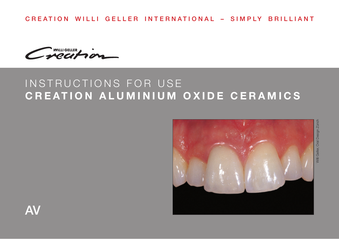CREATION WILLI GELLER INTERNATIONAL – SIMPLY BRILLIANT

WILLIGELLER

# INSTRUCTIONS FOR USE **CREATION ALUMINIUM OXIDE CERAMICS**



Willi Geller, Oral Design Zürich**Nilli Geller, Oral Design Zürich**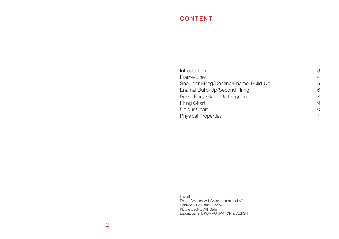# CONTENT

| Introduction                            | 3  |
|-----------------------------------------|----|
| Frame/Liner                             | 4  |
| Shoulder Firing/Dentine/Enamel Build-Up | 5  |
| Enamel Build-Up/Second Firing           | 6  |
| Glaze Firing/Build-Up Diagram           | 7  |
| Firing Chart                            | 9  |
| Colour Chart                            | 10 |
| <b>Physical Properties</b>              | 11 |
|                                         |    |

Imprint Editor: Creation Willi Geller International AG Content: ZTM Patrick Boche Picture credits: Willi Geller Layout: ganahl. KOMMUNIKATION & DESIGN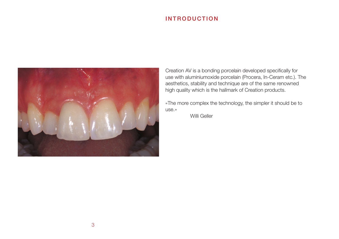## INTRODUCTION



Creation AV is a bonding porcelain developed specifically for use with aluminiumoxide porcelain (Procera, In-Ceram etc.). The aesthetics, stability and technique are of the same renowned high quality which is the hallmark of Creation products.

«The more complex the technology, the simpler it should be to use.»

Willi Geller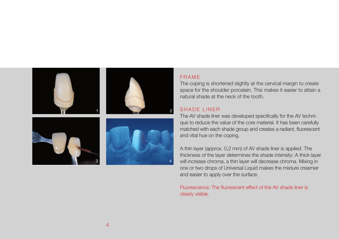

#### FRAME

The coping is shortened slightly at the cervical margin to create space for the shoulder porcelain. This makes it easier to attain a natural shade at the neck of the tooth.

#### SHADE LINER

The AV shade liner was developed specifically for the AV technique to reduce the value of the core material. It has been carefully matched with each shade group and creates a radiant, fluorescent and vital hue on the coping.

A thin layer (approx. 0,2 mm) of AV shade liner is applied. The thickness of the layer determines the shade intensity: A thick layer will increase chroma, a thin layer will decrease chroma. Mixing in one or two drops of Universal Liquid makes the mixture creamier and easier to apply over the surface.

Fluorescence: The fluorescent effect of the AV shade liner is clearly visible.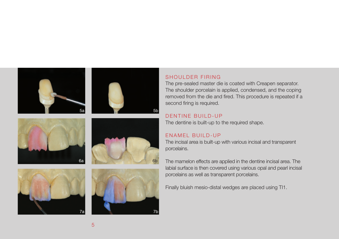











## SHOULDER FIRING

The pre-sealed master die is coated with Creapen separator. The shoulder porcelain is applied, condensed, and the coping removed from the die and fired. This procedure is repeated if a second firing is required.

## DENTINE BUILD-UP

The dentine is built-up to the required shape.

#### ENAMEL BUILD-UP

The incisal area is built-up with various incisal and transparent porcelains.

The mamelon effects are applied in the dentine incisal area. The labial surface is then covered using various opal and pearl incisal porcelains as well as transparent porcelains.

Finally bluish mesio-distal wedges are placed using TI1.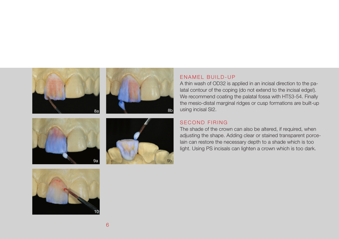









#### ENAMEL BUILD-UP

A thin wash of OD32 is applied in an incisal direction to the palatal contour of the coping (do not extend to the incisal edge!). We recommend coating the palatal fossa with HT53-54. Finally the mesio-distal marginal ridges or cusp formations are built-up using incisal SI2.

## SECOND FIRING

The shade of the crown can also be altered, if required, when adjusting the shape. Adding clear or stained transparent porcelain can restore the necessary depth to a shade which is too light. Using PS incisals can lighten a crown which is too dark.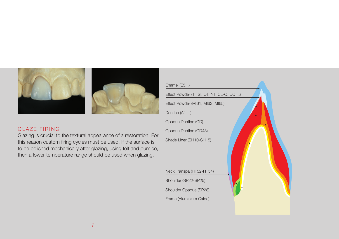

#### GLAZE FIRING

Glazing is crucial to the textural appearance of a restoration. For this reason custom firing cycles must be used. If the surface is to be polished mechanically after glazing, using felt and pumice, then a lower temperature range should be used when glazing.

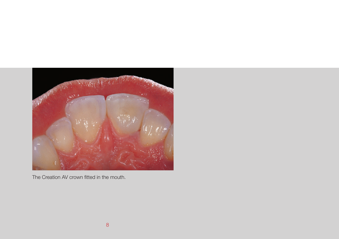

The Creation AV crown fitted in the mouth.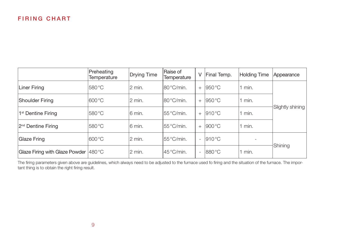## FIRING CHART

|                                        | Preheating<br>Temperature | <b>Drying Time</b> | Raise of<br>Temperature | V                        | Final Temp.     | Holding Time | Appearance       |
|----------------------------------------|---------------------------|--------------------|-------------------------|--------------------------|-----------------|--------------|------------------|
| Liner Firing                           | 580 °C                    | $2$ min.           | l80 °C/min.             | $+$                      | $950^{\circ}$ C | $1$ min.     |                  |
| Shoulder Firing                        | 1600 °C                   | l2 min.            | l80°C/min.              | $+$                      | 1950 °C         | $1$ min.     |                  |
| 1 <sup>st</sup> Dentine Firing         | 580 °C                    | 16 min.            | l55 °C/min.             | $+$                      | $910^{\circ}$ C | 1 min.       | Slightly shining |
| 2 <sup>nd</sup> Dentine Firing         | 580 °C                    | 16 min.            | l55 °C/min.             | $^{+}$                   | $900^{\circ}$ C | $1$ min.     |                  |
| Glaze Fring                            | 1600 °C                   | l2 min.            | l55 °C/min.             | $\overline{\phantom{a}}$ | $910^{\circ}$ C |              |                  |
| Glaze Firing with Glaze Powder  480 °C |                           | 2 min.             | l45 °C/min.             | $\overline{\phantom{a}}$ | 880 °C          | min.         | Shining          |

The firing parameters given above are guidelines, which always need to be adjusted to the furnace used fo firing and the situation of the furnace. The important thing is to obtain the right firing result.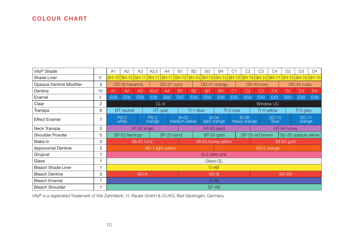# COLOUR CHART

| Vita <sup>®</sup> Shade   |                | A <sub>1</sub> | A2                        | A3              | A3,5                          | A4         | <b>B1</b>                | <b>B2</b>                        | B <sub>3</sub>                                  | <b>B4</b>               | C1             | C <sub>2</sub>          | C <sub>3</sub>  | C <sub>4</sub> | D <sub>2</sub>  | D <sub>3</sub>    | D4              |
|---------------------------|----------------|----------------|---------------------------|-----------------|-------------------------------|------------|--------------------------|----------------------------------|-------------------------------------------------|-------------------------|----------------|-------------------------|-----------------|----------------|-----------------|-------------------|-----------------|
| Shade Liner               | 6              |                |                           |                 | SH-10 SH-10 SH-11 SH-11 SH-11 |            |                          |                                  | SH-12 SH-10 SH-13 SH-13 SH-12 SH-14 SH-14 SH-11 |                         |                |                         |                 |                |                 | SH-15 SH-15 SH-15 |                 |
| Opaque Dentine Modifier   | 5              |                | OD-32 havanna             |                 |                               |            | OD-37 curry              |                                  |                                                 | OD-41 orange            |                |                         | OD-43 ivory     |                |                 | OD-44 cuba        |                 |
| Dentine                   | 16             | A1             | A2                        | A <sub>3</sub>  | A3.5                          | A4         | <b>B1</b>                | <b>B2</b>                        | B <sub>3</sub>                                  | <b>B4</b>               | C <sub>1</sub> | C <sub>2</sub>          | C3              | C <sub>4</sub> | D <sub>2</sub>  | D <sub>3</sub>    | D4              |
| Enamel                    | 4              | E58            | E58                       | E <sub>59</sub> | E <sub>59</sub>               | <b>E60</b> | E <sub>57</sub>          | <b>E59</b>                       | E59                                             | E <sub>59</sub>         | E60            | E <sub>59</sub>         | E59             | E60            | <b>E60</b>      | <b>E59</b>        | E <sub>59</sub> |
| Clear                     | $\overline{2}$ |                | Window UC<br>$CL-0$       |                 |                               |            |                          |                                  |                                                 |                         |                |                         |                 |                |                 |                   |                 |
| Transpa                   | 6              |                | NT neutral                |                 |                               | OT opal    |                          | TI-1 blue                        |                                                 |                         | TI-3 rose      |                         | TI-4 yellow     |                |                 | TI-5 grey         |                 |
| <b>Effect Enamel</b>      |                |                | $PS-0$<br>white           |                 | $PS-3$<br>orange              |            | $SI-02$<br>medium yellow |                                  |                                                 | $SI-04$<br>light orange |                | $SI-06$<br>heavy orange | $SO-10$<br>blue |                | SO-11<br>orange |                   |                 |
| Neck Transpa              | 3              |                | HT-52 khaki<br>HT-53 sand |                 |                               |            |                          | HT-54 honey                      |                                                 |                         |                |                         |                 |                |                 |                   |                 |
| Shoulder Powder           | 5              |                | SP-22 flamingo            |                 |                               |            | SP-23 sand               | SP-25 red brown<br>SP-24 gold    |                                                 |                         |                | Sp-28 opaque yellow     |                 |                |                 |                   |                 |
| Make In                   | 3              |                |                           | MI-61 ivory     |                               |            |                          | MI-65 gold<br>MI-63 honey yellow |                                                 |                         |                |                         |                 |                |                 |                   |                 |
| <b>Approximal Dentine</b> | 2              |                |                           |                 | AD-1 light yellow             |            |                          | AD-2 orange                      |                                                 |                         |                |                         |                 |                |                 |                   |                 |
| Gingival                  |                |                | G-2 dark pink             |                 |                               |            |                          |                                  |                                                 |                         |                |                         |                 |                |                 |                   |                 |
| Glaze                     |                |                | Glaze-GL                  |                 |                               |            |                          |                                  |                                                 |                         |                |                         |                 |                |                 |                   |                 |
| <b>Bleach Shade Liner</b> |                |                | $O-AB$                    |                 |                               |            |                          |                                  |                                                 |                         |                |                         |                 |                |                 |                   |                 |
| <b>Bleach Dentine</b>     | 3              |                | BD-B<br>BD-A              |                 |                               |            |                          |                                  | BD-B0                                           |                         |                |                         |                 |                |                 |                   |                 |
| <b>Bleach Enamel</b>      |                |                | $S-AB$                    |                 |                               |            |                          |                                  |                                                 |                         |                |                         |                 |                |                 |                   |                 |
| <b>Bleach Shoulder</b>    |                |                | SP-AB                     |                 |                               |            |                          |                                  |                                                 |                         |                |                         |                 |                |                 |                   |                 |

Vita® is a registrated Trademark of Vita Zahnfabrik, H. Rauter GmbH & Co.KG, Bad Säckingen, Germany.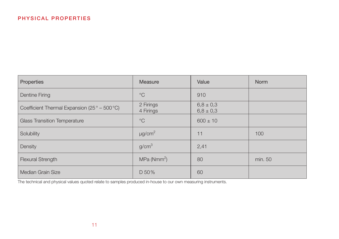| Properties                                                     | Measure                 | Value                          | <b>Norm</b> |
|----------------------------------------------------------------|-------------------------|--------------------------------|-------------|
| <b>Dentine Firing</b>                                          | $^{\circ}C$             | 910                            |             |
| Coefficient Thermal Expansion (25 $\degree$ – 500 $\degree$ C) | 2 Firings<br>4 Firings  | $6,8 \pm 0,3$<br>$6,8 \pm 0,3$ |             |
| <b>Glass Transition Temperature</b>                            | $^{\circ}C$             | $600 \pm 10$                   |             |
| Solubility                                                     | $\mu$ g/cm <sup>2</sup> | 11                             | 100         |
| Density                                                        | g/cm <sup>3</sup>       | 2,41                           |             |
| <b>Flexural Strength</b>                                       | MPa (Nmm <sup>2</sup> ) | 80                             | min. 50     |
| Median Grain Size                                              | D 50%                   | 60                             |             |

The technical and physical values quoted relate to samples produced in-house to our own measuring instruments.